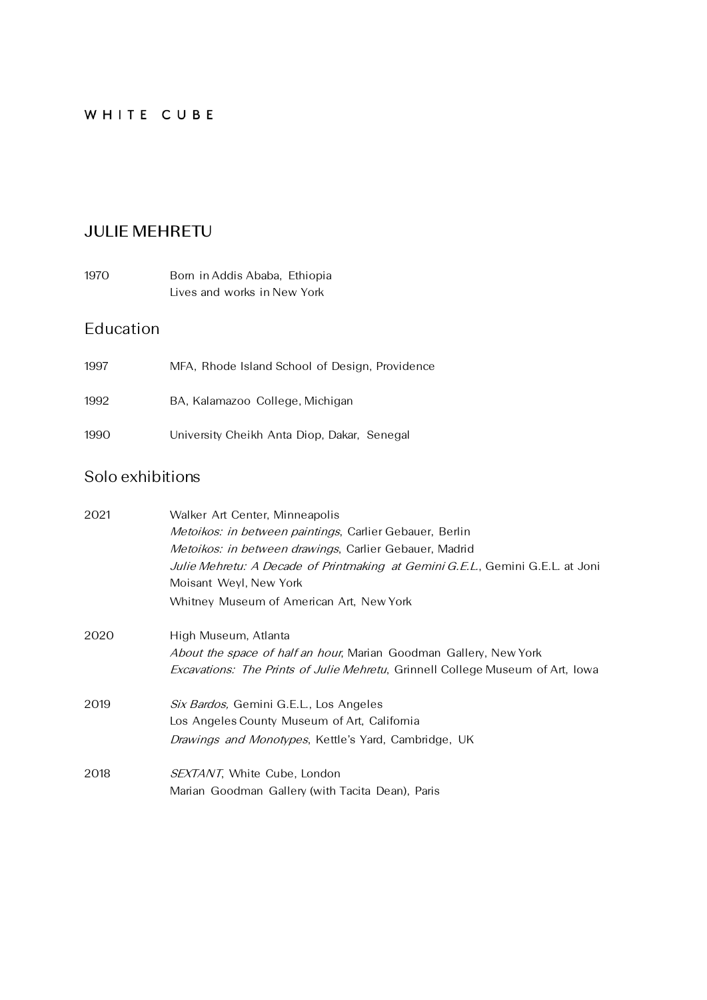#### WHITE CUBE

### **JULIE MEHRETU**

| 1970. | Born in Addis Ababa, Ethiopia |  |
|-------|-------------------------------|--|
|       | Lives and works in New York   |  |

## Education

| 1997 | MFA, Rhode Island School of Design, Providence |
|------|------------------------------------------------|
| 1992 | BA, Kalamazoo College, Michigan                |
| 1990 | University Cheikh Anta Diop, Dakar, Senegal    |

#### Solo exhibitions

| 2021 | Walker Art Center, Minneapolis                                                         |
|------|----------------------------------------------------------------------------------------|
|      | <i>Metoikos: in between paintings, Carlier Gebauer, Berlin</i>                         |
|      | <i>Metoikos: in between drawings</i> , Carlier Gebauer, Madrid                         |
|      | Julie Mehretu: A Decade of Printmaking at Gemini G.E.L., Gemini G.E.L. at Joni         |
|      | Moisant Weyl, New York                                                                 |
|      | Whitney Museum of American Art, New York                                               |
| 2020 | High Museum, Atlanta                                                                   |
|      | <i>About the space of half an hour</i> , Marian Goodman Gallery, New York              |
|      | <i>Excavations: The Prints of Julie Mehretu</i> , Grinnell College Museum of Art, Iowa |
| 2019 | Six Bardos, Gemini G.E.L., Los Angeles                                                 |
|      | Los Angeles County Museum of Art, California                                           |
|      | <i>Drawings and Monotypes</i> , Kettle's Yard, Cambridge, UK                           |
| 2018 | <i>SEXTANT</i> , White Cube, London                                                    |
|      | Marian Goodman Gallery (with Tacita Dean), Paris                                       |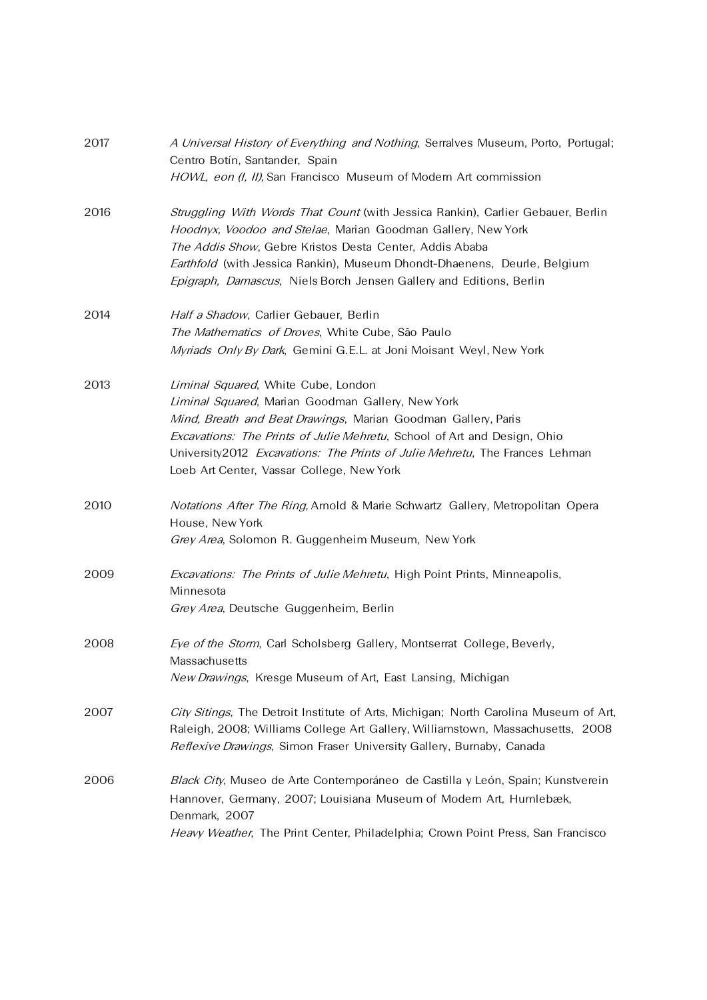| 2017 | A Universal History of Everything and Nothing, Serralves Museum, Porto, Portugal;<br>Centro Botín, Santander, Spain<br>HOWL, eon (I, II), San Francisco Museum of Modern Art commission                                                                                                                                                                            |
|------|--------------------------------------------------------------------------------------------------------------------------------------------------------------------------------------------------------------------------------------------------------------------------------------------------------------------------------------------------------------------|
| 2016 | Struggling With Words That Count (with Jessica Rankin), Carlier Gebauer, Berlin<br>Hoodnyx, Voodoo and Stelae, Marian Goodman Gallery, New York<br>The Addis Show, Gebre Kristos Desta Center, Addis Ababa<br>Earthfold (with Jessica Rankin), Museum Dhondt-Dhaenens, Deurle, Belgium<br>Epigraph, Damascus, Niels Borch Jensen Gallery and Editions, Berlin      |
| 2014 | Half a Shadow, Carlier Gebauer, Berlin<br>The Mathematics of Droves, White Cube, São Paulo<br>Myriads Only By Dark, Gemini G.E.L. at Joni Moisant Weyl, New York                                                                                                                                                                                                   |
| 2013 | Liminal Squared, White Cube, London<br>Liminal Squared, Marian Goodman Gallery, New York<br>Mind, Breath and Beat Drawings, Marian Goodman Gallery, Paris<br>Excavations: The Prints of Julie Mehretu, School of Art and Design, Ohio<br>University 2012 Excavations: The Prints of Julie Mehretu, The Frances Lehman<br>Loeb Art Center, Vassar College, New York |
| 2010 | <i>Notations After The Ring</i> , Arnold & Marie Schwartz Gallery, Metropolitan Opera<br>House, New York<br>Grey Area, Solomon R. Guggenheim Museum, New York                                                                                                                                                                                                      |
| 2009 | Excavations: The Prints of Julie Mehretu, High Point Prints, Minneapolis,<br>Minnesota<br>Grey Area, Deutsche Guggenheim, Berlin                                                                                                                                                                                                                                   |
| 2008 | Eye of the Storm, Carl Scholsberg Gallery, Montserrat College, Beverly,<br>Massachusetts<br>New Drawings, Kresge Museum of Art, East Lansing, Michigan                                                                                                                                                                                                             |
| 2007 | City Sitings, The Detroit Institute of Arts, Michigan; North Carolina Museum of Art,<br>Raleigh, 2008; Williams College Art Gallery, Williamstown, Massachusetts, 2008<br>Reflexive Drawings, Simon Fraser University Gallery, Burnaby, Canada                                                                                                                     |
| 2006 | Black City, Museo de Arte Contemporáneo de Castilla y León, Spain; Kunstverein<br>Hannover, Germany, 2007; Louisiana Museum of Modern Art, Humlebæk,<br>Denmark, 2007<br>Heavy Weather, The Print Center, Philadelphia; Crown Point Press, San Francisco                                                                                                           |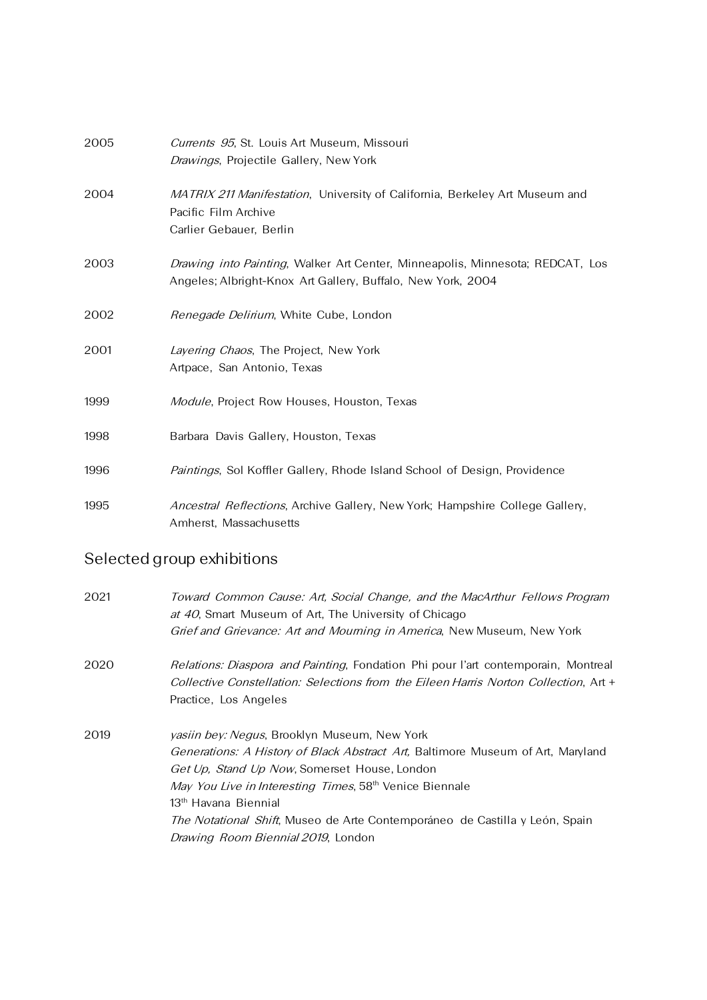| 2005 | Currents 95, St. Louis Art Museum, Missouri                                                                                                          |
|------|------------------------------------------------------------------------------------------------------------------------------------------------------|
|      | Drawings, Projectile Gallery, New York                                                                                                               |
| 2004 | MATRIX 211 Manifestation, University of California, Berkeley Art Museum and<br>Pacific Film Archive                                                  |
|      | Carlier Gebauer, Berlin                                                                                                                              |
| 2003 | <i>Drawing into Painting</i> , Walker Art Center, Minneapolis, Minnesota; REDCAT, Los<br>Angeles; Albright-Knox Art Gallery, Buffalo, New York, 2004 |
| 2002 | Renegade Delirium, White Cube, London                                                                                                                |
| 2001 | Layering Chaos, The Project, New York<br>Artpace, San Antonio, Texas                                                                                 |
| 1999 | Module, Project Row Houses, Houston, Texas                                                                                                           |
| 1998 | Barbara Davis Gallery, Houston, Texas                                                                                                                |
| 1996 | Paintings, Sol Koffler Gallery, Rhode Island School of Design, Providence                                                                            |
| 1995 | Ancestral Reflections, Archive Gallery, New York; Hampshire College Gallery,<br>Amherst, Massachusetts                                               |

# Selected group exhibitions

| 2021 | Toward Common Cause: Art, Social Change, and the MacArthur Fellows Program<br>at 40, Smart Museum of Art, The University of Chicago<br><i>Grief and Grievance: Art and Mourning in America</i> , New Museum, New York                                                                                                                                                                                                                   |
|------|-----------------------------------------------------------------------------------------------------------------------------------------------------------------------------------------------------------------------------------------------------------------------------------------------------------------------------------------------------------------------------------------------------------------------------------------|
| 2020 | <i>Relations: Diaspora and Painting</i> , Fondation Phi pour l'art contemporain, Montreal<br><i>Collective Constellation: Selections from the Eileen Harris Norton Collection</i> , Art +<br>Practice, Los Angeles                                                                                                                                                                                                                      |
| 2019 | <i>yasiin bey: Negus</i> , Brooklyn Museum, New York<br>Generations: A History of Black Abstract Art, Baltimore Museum of Art, Maryland<br><i>Get Up, Stand Up Now</i> , Somerset House, London<br>May You Live in Interesting Times, 58 <sup>th</sup> Venice Biennale<br>13 <sup>th</sup> Havana Biennial<br>The Notational Shift, Museo de Arte Contemporáneo de Castilla y León, Spain<br><i>Drawing Room Biennial 2019</i> , London |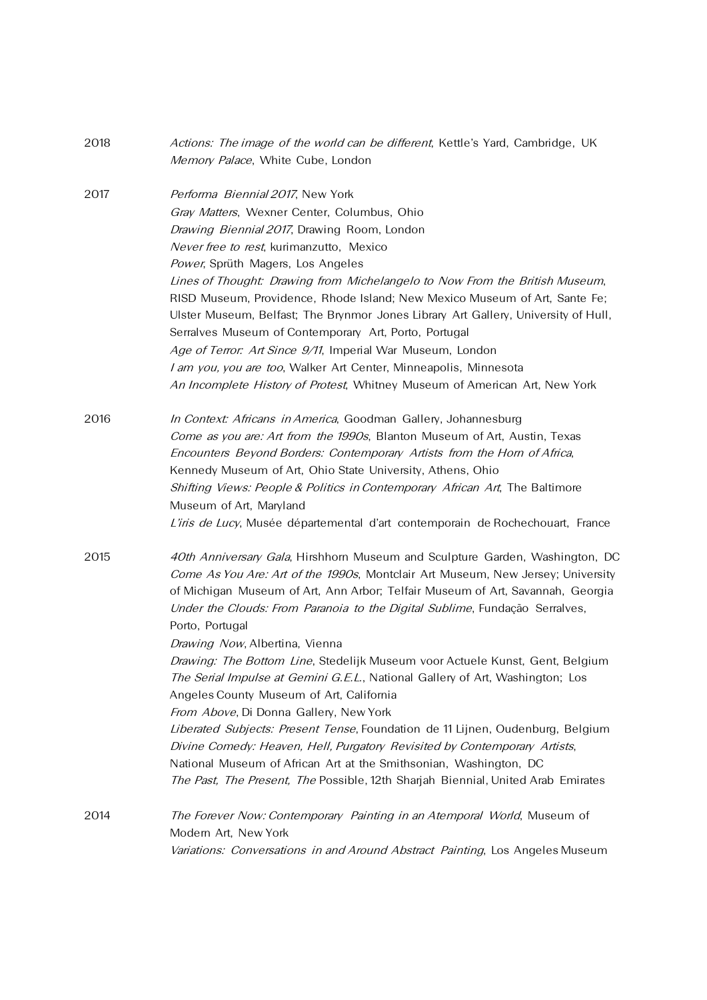| 2018 | Actions: The image of the world can be different, Kettle's Yard, Cambridge, UK<br>Memory Palace, White Cube, London                                           |
|------|---------------------------------------------------------------------------------------------------------------------------------------------------------------|
| 2017 | Performa Biennial 2017, New York                                                                                                                              |
|      | Gray Matters, Wexner Center, Columbus, Ohio                                                                                                                   |
|      | Drawing Biennial 2017, Drawing Room, London                                                                                                                   |
|      | Never free to rest, kurimanzutto, Mexico                                                                                                                      |
|      | Power, Sprüth Magers, Los Angeles                                                                                                                             |
|      | Lines of Thought: Drawing from Michelangelo to Now From the British Museum,                                                                                   |
|      | RISD Museum, Providence, Rhode Island; New Mexico Museum of Art, Sante Fe;                                                                                    |
|      | Ulster Museum, Belfast; The Brynmor Jones Library Art Gallery, University of Hull,                                                                            |
|      | Serralves Museum of Contemporary Art, Porto, Portugal                                                                                                         |
|      | Age of Terror: Art Since 9/11, Imperial War Museum, London                                                                                                    |
|      | I am you, you are too, Walker Art Center, Minneapolis, Minnesota                                                                                              |
|      | An Incomplete History of Protest, Whitney Museum of American Art, New York                                                                                    |
| 2016 | In Context: Africans in America, Goodman Gallery, Johannesburg                                                                                                |
|      | Come as you are: Art from the 1990s, Blanton Museum of Art, Austin, Texas                                                                                     |
|      | Encounters Beyond Borders: Contemporary Artists from the Horn of Africa,                                                                                      |
|      | Kennedy Museum of Art, Ohio State University, Athens, Ohio                                                                                                    |
|      | Shifting Views: People & Politics in Contemporary African Art, The Baltimore                                                                                  |
|      | Museum of Art, Maryland                                                                                                                                       |
|      | L'iris de Lucy, Musée départemental d'art contemporain de Rochechouart, France                                                                                |
| 2015 | 40th Anniversary Gala, Hirshhorn Museum and Sculpture Garden, Washington, DC                                                                                  |
|      | Come As You Are: Art of the 1990s, Montclair Art Museum, New Jersey; University                                                                               |
|      | of Michigan Museum of Art, Ann Arbor; Telfair Museum of Art, Savannah, Georgia                                                                                |
|      | Under the Clouds: From Paranoia to the Digital Sublime, Fundação Serralves,                                                                                   |
|      | Porto, Portugal                                                                                                                                               |
|      | Drawing Now, Albertina, Vienna                                                                                                                                |
|      | Drawing: The Bottom Line, Stedelijk Museum voor Actuele Kunst, Gent, Belgium<br>The Serial Impulse at Gemini G.E.L., National Gallery of Art, Washington; Los |
|      | Angeles County Museum of Art, California                                                                                                                      |
|      | From Above, Di Donna Gallery, New York                                                                                                                        |
|      | Liberated Subjects: Present Tense, Foundation de 11 Lijnen, Oudenburg, Belgium                                                                                |
|      | Divine Comedy: Heaven, Hell, Purgatory Revisited by Contemporary Artists,                                                                                     |
|      | National Museum of African Art at the Smithsonian, Washington, DC                                                                                             |
|      | The Past, The Present, The Possible, 12th Sharjah Biennial, United Arab Emirates                                                                              |
| 2014 | The Forever Now: Contemporary Painting in an Atemporal World, Museum of                                                                                       |
|      | Modern Art, New York                                                                                                                                          |
|      | Variations: Conversations in and Around Abstract Painting, Los Angeles Museum                                                                                 |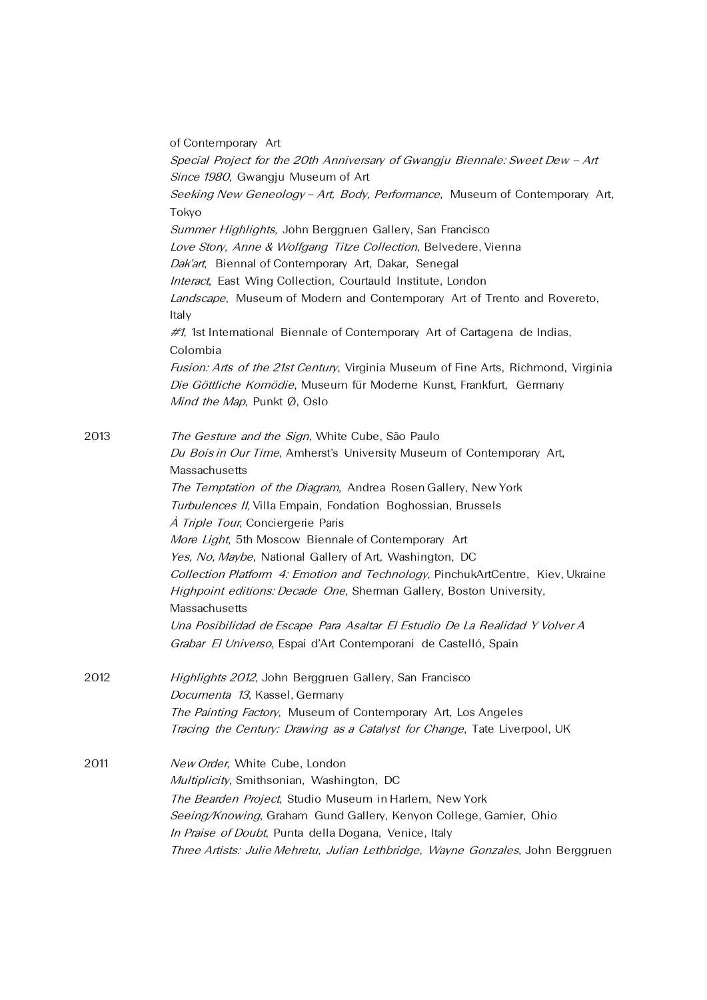|      | of Contemporary Art                                                                                                                                                    |
|------|------------------------------------------------------------------------------------------------------------------------------------------------------------------------|
|      | Special Project for the 20th Anniversary of Gwangju Biennale: Sweet Dew - Art                                                                                          |
|      | Since 1980, Gwangju Museum of Art                                                                                                                                      |
|      | Seeking New Geneology - Art, Body, Performance, Museum of Contemporary Art,                                                                                            |
|      | Tokyo                                                                                                                                                                  |
|      | Summer Highlights, John Berggruen Gallery, San Francisco                                                                                                               |
|      | Love Story, Anne & Wolfgang Titze Collection, Belvedere, Vienna                                                                                                        |
|      | Dak'art, Biennal of Contemporary Art, Dakar, Senegal                                                                                                                   |
|      | Interact, East Wing Collection, Courtauld Institute, London                                                                                                            |
|      | Landscape, Museum of Modern and Contemporary Art of Trento and Rovereto,<br>Italy                                                                                      |
|      | #1, 1st International Biennale of Contemporary Art of Cartagena de Indias,<br>Colombia                                                                                 |
|      | <i>Fusion: Arts of the 21st Century</i> , Virginia Museum of Fine Arts, Richmond, Virginia                                                                             |
|      | Die Göttliche Komödie, Museum für Moderne Kunst, Frankfurt, Germany                                                                                                    |
|      | Mind the Map, Punkt Ø, Oslo                                                                                                                                            |
| 2013 | The Gesture and the Sign, White Cube, São Paulo                                                                                                                        |
|      | Du Bois in Our Time, Amherst's University Museum of Contemporary Art,<br>Massachusetts                                                                                 |
|      | The Temptation of the Diagram, Andrea Rosen Gallery, New York                                                                                                          |
|      | Turbulences II, Villa Empain, Fondation Boghossian, Brussels                                                                                                           |
|      | A Triple Tour, Conciergerie Paris                                                                                                                                      |
|      | More Light, 5th Moscow Biennale of Contemporary Art                                                                                                                    |
|      | Yes, No, Maybe, National Gallery of Art, Washington, DC                                                                                                                |
|      | Collection Platform 4: Emotion and Technology, PinchukArtCentre, Kiev, Ukraine<br>Highpoint editions: Decade One, Sherman Gallery, Boston University,<br>Massachusetts |
|      | Una Posibilidad de Escape Para Asaltar El Estudio De La Realidad Y Volver A                                                                                            |
|      | Grabar El Universo, Espai d'Art Contemporani de Castelló, Spain                                                                                                        |
|      |                                                                                                                                                                        |
| 2012 | Highlights 2012, John Berggruen Gallery, San Francisco                                                                                                                 |
|      | Documenta 13, Kassel, Germany                                                                                                                                          |
|      | The Painting Factory, Museum of Contemporary Art, Los Angeles                                                                                                          |
|      | Tracing the Century: Drawing as a Catalyst for Change, Tate Liverpool, UK                                                                                              |
| 2011 | New Order, White Cube, London                                                                                                                                          |
|      | Multiplicity, Smithsonian, Washington, DC                                                                                                                              |
|      | The Bearden Project, Studio Museum in Harlem, New York                                                                                                                 |
|      | Seeing/Knowing, Graham Gund Gallery, Kenyon College, Gamier, Ohio                                                                                                      |
|      | In Praise of Doubt, Punta della Dogana, Venice, Italy                                                                                                                  |
|      | Three Artists: Julie Mehretu, Julian Lethbridge, Wayne Gonzales, John Berggruen                                                                                        |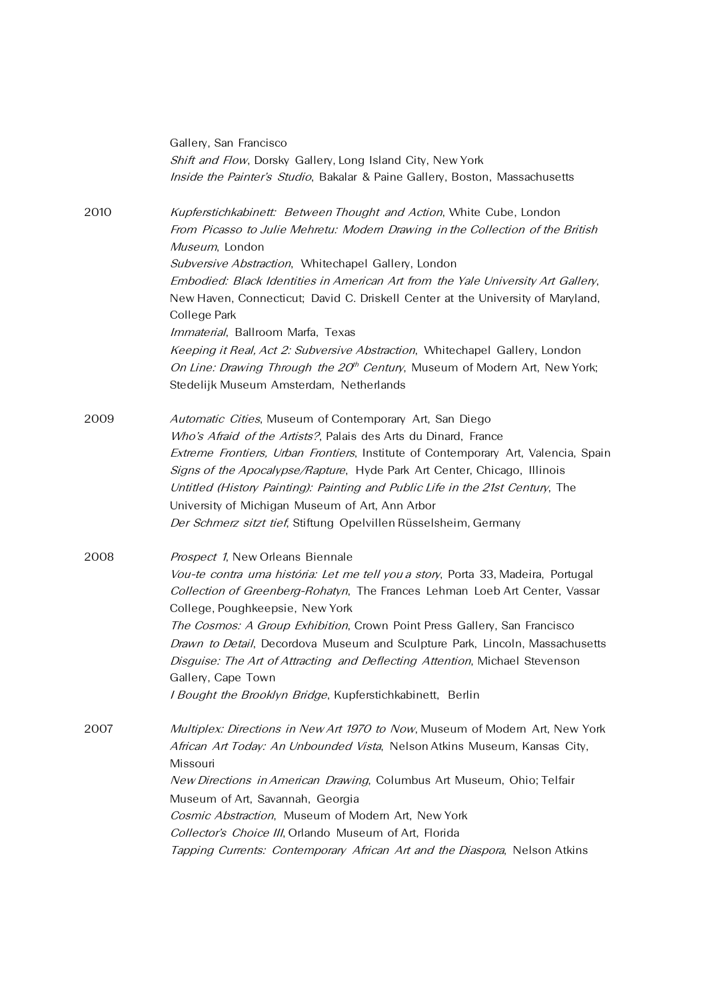|      | Gallery, San Francisco                                                                                                                                                                                                                           |
|------|--------------------------------------------------------------------------------------------------------------------------------------------------------------------------------------------------------------------------------------------------|
|      | Shift and Flow, Dorsky Gallery, Long Island City, New York                                                                                                                                                                                       |
|      | Inside the Painter's Studio, Bakalar & Paine Gallery, Boston, Massachusetts                                                                                                                                                                      |
| 2010 | Kupferstichkabinett: Between Thought and Action, White Cube, London<br>From Picasso to Julie Mehretu: Modern Drawing in the Collection of the British<br>Museum, London                                                                          |
|      | Subversive Abstraction, Whitechapel Gallery, London                                                                                                                                                                                              |
|      | Embodied: Black Identities in American Art from the Yale University Art Gallery,<br>New Haven, Connecticut; David C. Driskell Center at the University of Maryland,<br>College Park                                                              |
|      | Immaterial, Ballroom Marfa, Texas                                                                                                                                                                                                                |
|      | Keeping it Real, Act 2: Subversive Abstraction, Whitechapel Gallery, London<br>On Line: Drawing Through the 20 <sup>th</sup> Century, Museum of Modern Art, New York;<br>Stedelijk Museum Amsterdam, Netherlands                                 |
| 2009 | Automatic Cities, Museum of Contemporary Art, San Diego                                                                                                                                                                                          |
|      | Who's Afraid of the Artists?, Palais des Arts du Dinard, France                                                                                                                                                                                  |
|      | Extreme Frontiers, Urban Frontiers, Institute of Contemporary Art, Valencia, Spain<br>Signs of the Apocalypse/Rapture, Hyde Park Art Center, Chicago, Illinois<br>Untitled (History Painting): Painting and Public Life in the 21st Century, The |
|      | University of Michigan Museum of Art, Ann Arbor                                                                                                                                                                                                  |
|      | Der Schmerz sitzt tief, Stiftung Opelvillen Rüsselsheim, Germany                                                                                                                                                                                 |
| 2008 | Prospect 1, New Orleans Biennale                                                                                                                                                                                                                 |
|      | Vou-te contra uma história: Let me tell you a story, Porta 33, Madeira, Portugal<br>Collection of Greenberg-Rohatyn, The Frances Lehman Loeb Art Center, Vassar<br>College, Poughkeepsie, New York                                               |
|      | The Cosmos: A Group Exhibition, Crown Point Press Gallery, San Francisco                                                                                                                                                                         |
|      | Drawn to Detail, Decordova Museum and Sculpture Park, Lincoln, Massachusetts                                                                                                                                                                     |
|      | Disguise: The Art of Attracting and Deflecting Attention, Michael Stevenson                                                                                                                                                                      |
|      | Gallery, Cape Town                                                                                                                                                                                                                               |
|      | I Bought the Brooklyn Bridge, Kupferstichkabinett, Berlin                                                                                                                                                                                        |
| 2007 | Multiplex: Directions in New Art 1970 to Now, Museum of Modern Art, New York                                                                                                                                                                     |
|      | African Art Today: An Unbounded Vista, Nelson Atkins Museum, Kansas City,<br>Missouri                                                                                                                                                            |
|      | New Directions in American Drawing, Columbus Art Museum, Ohio; Telfair                                                                                                                                                                           |
|      | Museum of Art, Savannah, Georgia                                                                                                                                                                                                                 |
|      | Cosmic Abstraction, Museum of Modern Art, New York                                                                                                                                                                                               |
|      | Collector's Choice III, Orlando Museum of Art, Florida                                                                                                                                                                                           |
|      | Tapping Currents: Contemporary African Art and the Diaspora, Nelson Atkins                                                                                                                                                                       |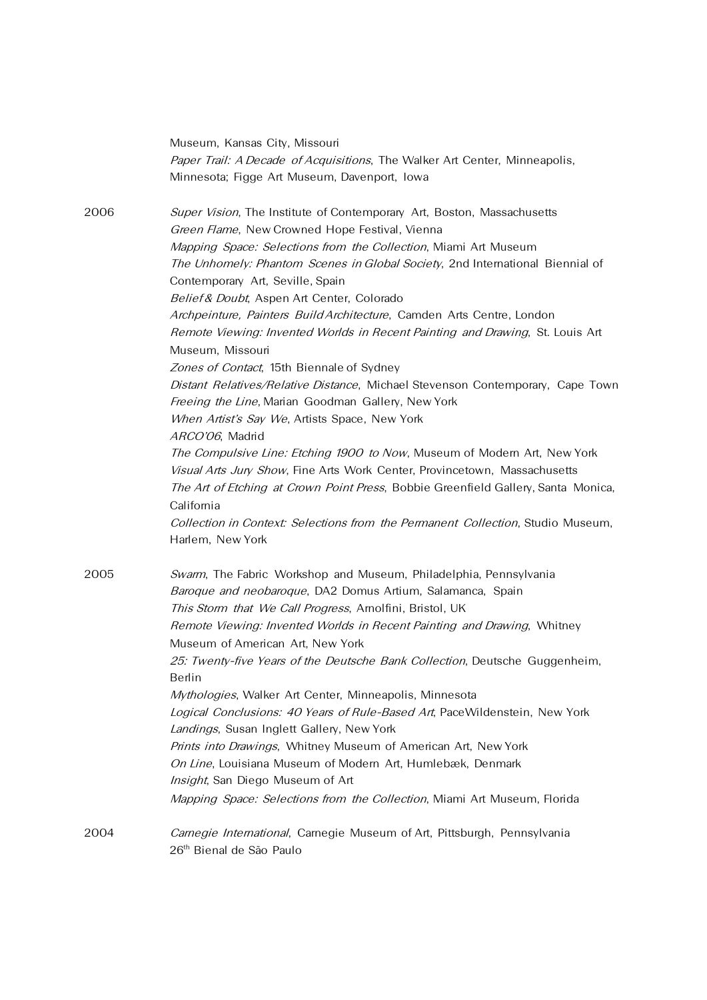|      | Museum, Kansas City, Missouri                                                                                                        |
|------|--------------------------------------------------------------------------------------------------------------------------------------|
|      | Paper Trail: A Decade of Acquisitions, The Walker Art Center, Minneapolis,                                                           |
|      | Minnesota; Figge Art Museum, Davenport, Iowa                                                                                         |
| 2006 | Super Vision, The Institute of Contemporary Art, Boston, Massachusetts                                                               |
|      | Green Flame, New Crowned Hope Festival, Vienna                                                                                       |
|      |                                                                                                                                      |
|      | Mapping Space: Selections from the Collection, Miami Art Museum                                                                      |
|      | The Unhomely: Phantom Scenes in Global Society, 2nd International Biennial of                                                        |
|      | Contemporary Art, Seville, Spain                                                                                                     |
|      | Belief & Doubt, Aspen Art Center, Colorado                                                                                           |
|      | Archpeinture, Painters Build Architecture, Camden Arts Centre, London                                                                |
|      | Remote Viewing: Invented Worlds in Recent Painting and Drawing, St. Louis Art<br>Museum, Missouri                                    |
|      | Zones of Contact, 15th Biennale of Sydney                                                                                            |
|      | Distant Relatives/Relative Distance, Michael Stevenson Contemporary, Cape Town<br>Freeing the Line, Marian Goodman Gallery, New York |
|      | When Artist's Say We, Artists Space, New York                                                                                        |
|      | ARCO'06, Madrid                                                                                                                      |
|      | The Compulsive Line: Etching 1900 to Now, Museum of Modern Art, New York                                                             |
|      | Visual Arts Jury Show, Fine Arts Work Center, Provincetown, Massachusetts                                                            |
|      | The Art of Etching at Crown Point Press, Bobbie Greenfield Gallery, Santa Monica,                                                    |
|      | California                                                                                                                           |
|      | Collection in Context: Selections from the Permanent Collection, Studio Museum,                                                      |
|      | Harlem, New York                                                                                                                     |
|      |                                                                                                                                      |
| 2005 | Swarm, The Fabric Workshop and Museum, Philadelphia, Pennsylvania                                                                    |
|      | Baroque and neobaroque, DA2 Domus Artium, Salamanca, Spain                                                                           |
|      | This Storm that We Call Progress, Arnolfini, Bristol, UK                                                                             |
|      | Remote Viewing: Invented Worlds in Recent Painting and Drawing, Whitney                                                              |
|      | Museum of American Art, New York                                                                                                     |
|      | 25: Twenty-five Years of the Deutsche Bank Collection, Deutsche Guggenheim,                                                          |
|      | Berlin                                                                                                                               |
|      | Mythologies, Walker Art Center, Minneapolis, Minnesota                                                                               |
|      | Logical Conclusions: 40 Years of Rule-Based Art, PaceWildenstein, New York                                                           |
|      | Landings, Susan Inglett Gallery, New York                                                                                            |
|      | Prints into Drawings, Whitney Museum of American Art, New York                                                                       |
|      | On Line, Louisiana Museum of Modern Art, Humlebæk, Denmark                                                                           |
|      | Insight, San Diego Museum of Art                                                                                                     |
|      | Mapping Space: Selections from the Collection, Miami Art Museum, Florida                                                             |
| 2004 | Carnegie International, Carnegie Museum of Art, Pittsburgh, Pennsylvania                                                             |
|      | 26 <sup>th</sup> Bienal de São Paulo                                                                                                 |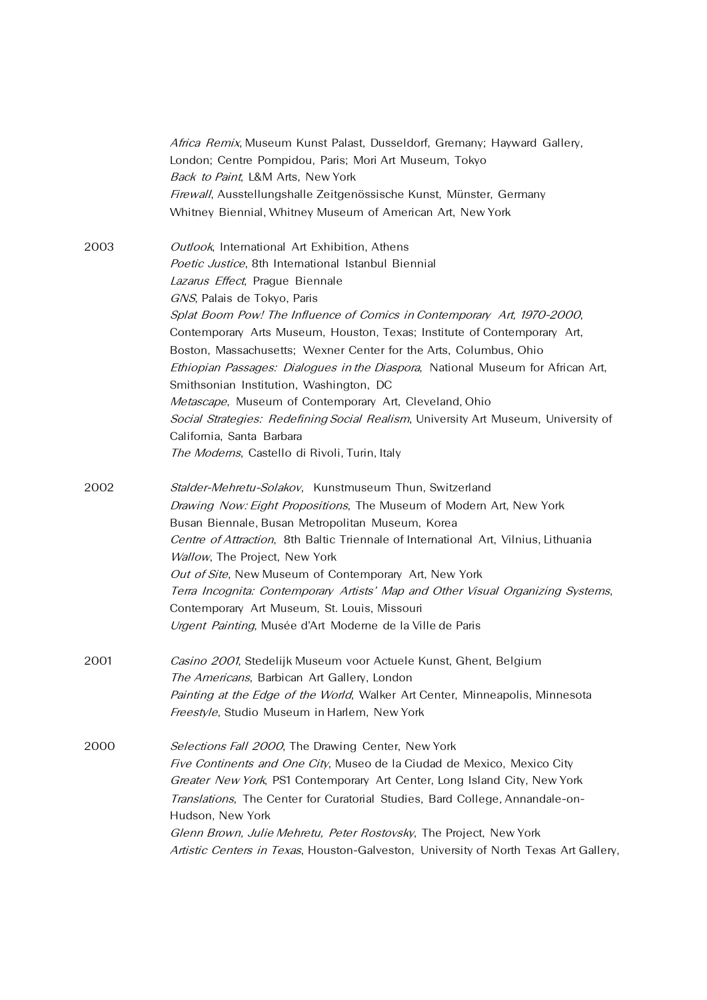|      | Africa Remix, Museum Kunst Palast, Dusseldorf, Gremany; Hayward Gallery,                                                   |
|------|----------------------------------------------------------------------------------------------------------------------------|
|      | London; Centre Pompidou, Paris; Mori Art Museum, Tokyo                                                                     |
|      | Back to Paint, L&M Arts, New York                                                                                          |
|      | Firewall, Ausstellungshalle Zeitgenössische Kunst, Münster, Germany                                                        |
|      | Whitney Biennial, Whitney Museum of American Art, New York                                                                 |
| 2003 | Outlook, International Art Exhibition, Athens                                                                              |
|      | Poetic Justice, 8th International Istanbul Biennial                                                                        |
|      | Lazarus Effect, Prague Biennale                                                                                            |
|      | GNS, Palais de Tokyo, Paris                                                                                                |
|      | Splat Boom Pow! The Influence of Comics in Contemporary Art, 1970-2000,                                                    |
|      | Contemporary Arts Museum, Houston, Texas; Institute of Contemporary Art,                                                   |
|      | Boston, Massachusetts; Wexner Center for the Arts, Columbus, Ohio                                                          |
|      | Ethiopian Passages: Dialogues in the Diaspora, National Museum for African Art,<br>Smithsonian Institution, Washington, DC |
|      | Metascape, Museum of Contemporary Art, Cleveland, Ohio                                                                     |
|      | Social Strategies: Redefining Social Realism, University Art Museum, University of                                         |
|      | California, Santa Barbara                                                                                                  |
|      | The Moderns, Castello di Rivoli, Turin, Italy                                                                              |
| 2002 | Stalder-Mehretu-Solakov, Kunstmuseum Thun, Switzerland                                                                     |
|      | Drawing Now: Eight Propositions, The Museum of Modern Art, New York                                                        |
|      | Busan Biennale, Busan Metropolitan Museum, Korea                                                                           |
|      | Centre of Attraction, 8th Baltic Triennale of International Art, Vilnius, Lithuania                                        |
|      | Wallow, The Project, New York                                                                                              |
|      | Out of Site, New Museum of Contemporary Art, New York                                                                      |
|      | Terra Incognita: Contemporary Artists' Map and Other Visual Organizing Systems,                                            |
|      | Contemporary Art Museum, St. Louis, Missouri                                                                               |
|      | Urgent Painting, Musée d'Art Moderne de la Ville de Paris                                                                  |
| 2001 | Casino 2001, Stedelijk Museum voor Actuele Kunst, Ghent, Belgium                                                           |
|      | The Americans, Barbican Art Gallery, London                                                                                |
|      | Painting at the Edge of the World, Walker Art Center, Minneapolis, Minnesota                                               |
|      | Freestyle, Studio Museum in Harlem, New York                                                                               |
| 2000 | Selections Fall 2000, The Drawing Center, New York                                                                         |
|      | Five Continents and One City, Museo de la Ciudad de Mexico, Mexico City                                                    |
|      | Greater New York, PS1 Contemporary Art Center, Long Island City, New York                                                  |
|      | Translations, The Center for Curatorial Studies, Bard College, Annandale-on-<br>Hudson, New York                           |
|      | Glenn Brown, Julie Mehretu, Peter Rostovsky, The Project, New York                                                         |
|      | Artistic Centers in Texas, Houston-Galveston, University of North Texas Art Gallery,                                       |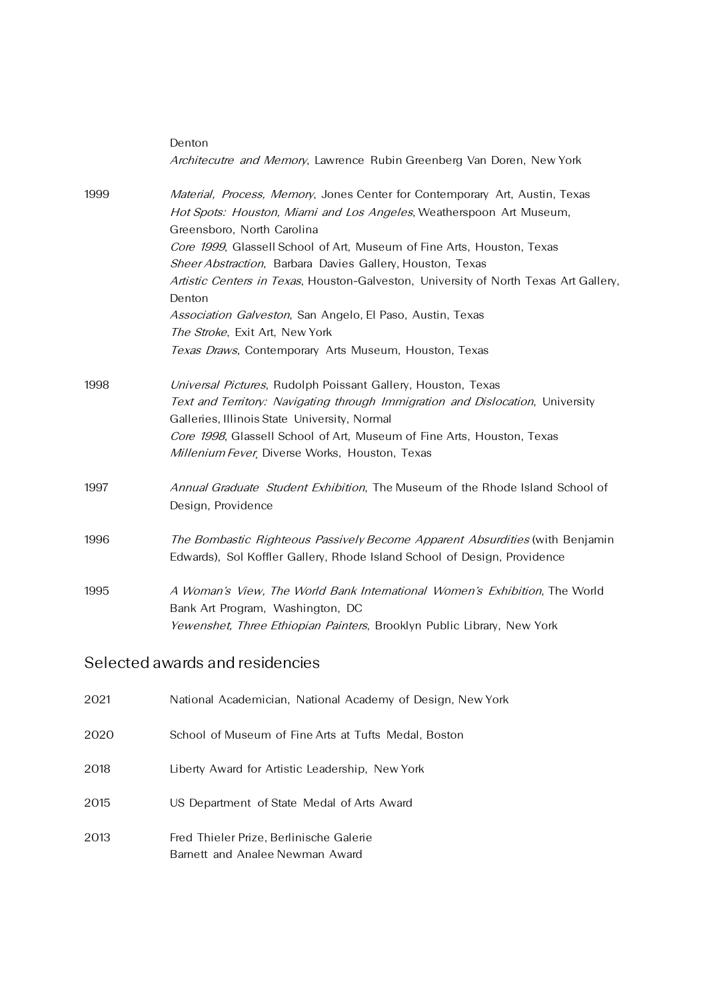|      | Denton<br>Architecutre and Memory, Lawrence Rubin Greenberg Van Doren, New York                                                                                                                                                                                                                                                                                                                                                                                                        |
|------|----------------------------------------------------------------------------------------------------------------------------------------------------------------------------------------------------------------------------------------------------------------------------------------------------------------------------------------------------------------------------------------------------------------------------------------------------------------------------------------|
| 1999 | Material, Process, Memory, Jones Center for Contemporary Art, Austin, Texas<br>Hot Spots: Houston, Miami and Los Angeles, Weatherspoon Art Museum,<br>Greensboro, North Carolina<br>Core 1999, Glassell School of Art, Museum of Fine Arts, Houston, Texas<br>Sheer Abstraction, Barbara Davies Gallery, Houston, Texas<br>Artistic Centers in Texas, Houston-Galveston, University of North Texas Art Gallery,<br>Denton<br>Association Galveston, San Angelo, El Paso, Austin, Texas |
|      | The Stroke, Exit Art, New York<br>Texas Draws, Contemporary Arts Museum, Houston, Texas                                                                                                                                                                                                                                                                                                                                                                                                |
| 1998 | Universal Pictures, Rudolph Poissant Gallery, Houston, Texas<br>Text and Territory: Navigating through Immigration and Dislocation, University<br>Galleries, Illinois State University, Normal<br>Core 1998, Glassell School of Art, Museum of Fine Arts, Houston, Texas<br>Millenium Fever, Diverse Works, Houston, Texas                                                                                                                                                             |
| 1997 | Annual Graduate Student Exhibition, The Museum of the Rhode Island School of<br>Design, Providence                                                                                                                                                                                                                                                                                                                                                                                     |
| 1996 | The Bombastic Righteous Passively Become Apparent Absurdities (with Benjamin<br>Edwards), Sol Koffler Gallery, Rhode Island School of Design, Providence                                                                                                                                                                                                                                                                                                                               |
| 1995 | A Woman's View, The World Bank International Women's Exhibition, The World<br>Bank Art Program, Washington, DC<br>Yewenshet, Three Ethiopian Painters, Brooklyn Public Library, New York                                                                                                                                                                                                                                                                                               |

## Selected awards and residencies

| 2021 | National Academician, National Academy of Design, New York                 |
|------|----------------------------------------------------------------------------|
| 2020 | School of Museum of Fine Arts at Tufts Medal, Boston                       |
| 2018 | Liberty Award for Artistic Leadership, New York                            |
| 2015 | US Department of State Medal of Arts Award                                 |
| 2013 | Fred Thieler Prize, Berlinische Galerie<br>Barnett and Analee Newman Award |